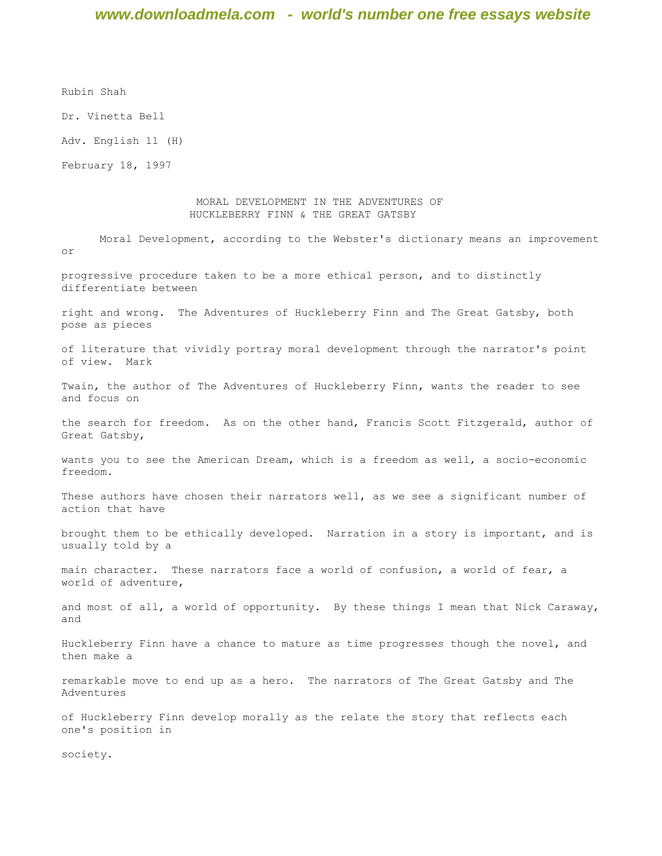Rubin Shah

Dr. Vinetta Bell

Adv. English 11 (H)

February 18, 1997

#### MORAL DEVELOPMENT IN THE ADVENTURES OF HUCKLEBERRY FINN & THE GREAT GATSBY

Moral Development, according to the Webster's dictionary means an improvement or

progressive procedure taken to be a more ethical person, and to distinctly differentiate between

right and wrong. The Adventures of Huckleberry Finn and The Great Gatsby, both pose as pieces

of literature that vividly portray moral development through the narrator's point of view. Mark

Twain, the author of The Adventures of Huckleberry Finn, wants the reader to see and focus on

the search for freedom. As on the other hand, Francis Scott Fitzgerald, author of Great Gatsby,

wants you to see the American Dream, which is a freedom as well, a socio-economic freedom.

These authors have chosen their narrators well, as we see a significant number of action that have

brought them to be ethically developed. Narration in a story is important, and is usually told by a

main character. These narrators face a world of confusion, a world of fear, a world of adventure,

and most of all, a world of opportunity. By these things I mean that Nick Caraway, and

Huckleberry Finn have a chance to mature as time progresses though the novel, and then make a

remarkable move to end up as a hero. The narrators of The Great Gatsby and The Adventures

of Huckleberry Finn develop morally as the relate the story that reflects each one's position in

society.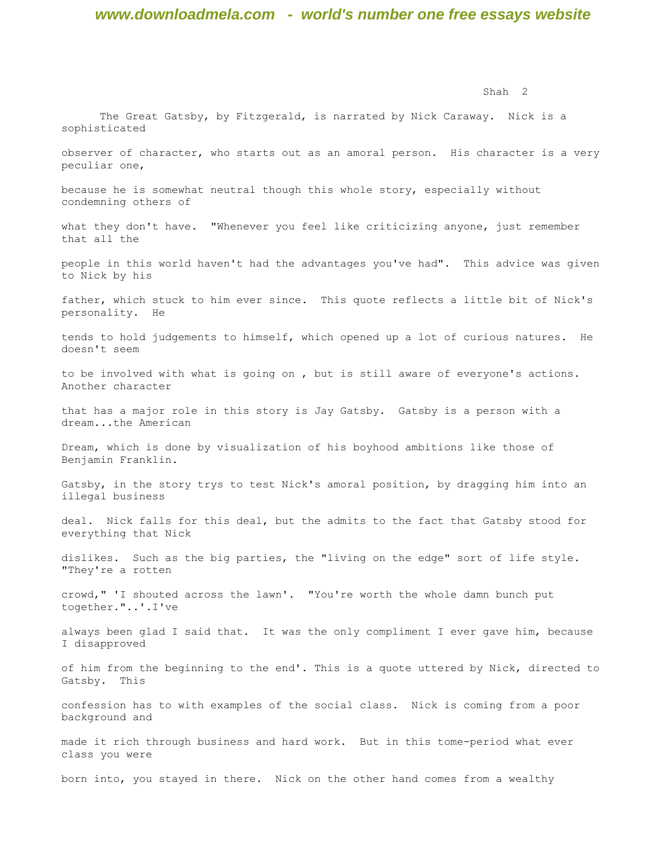The Great Gatsby, by Fitzgerald, is narrated by Nick Caraway. Nick is a

sophisticated

Shah 2

observer of character, who starts out as an amoral person. His character is a very peculiar one, because he is somewhat neutral though this whole story, especially without condemning others of what they don't have. "Whenever you feel like criticizing anyone, just remember that all the people in this world haven't had the advantages you've had". This advice was given to Nick by his father, which stuck to him ever since. This quote reflects a little bit of Nick's personality. He tends to hold judgements to himself, which opened up a lot of curious natures. He doesn't seem to be involved with what is going on , but is still aware of everyone's actions. Another character that has a major role in this story is Jay Gatsby. Gatsby is a person with a dream...the American Dream, which is done by visualization of his boyhood ambitions like those of Benjamin Franklin. Gatsby, in the story trys to test Nick's amoral position, by dragging him into an illegal business deal. Nick falls for this deal, but the admits to the fact that Gatsby stood for everything that Nick dislikes. Such as the big parties, the "living on the edge" sort of life style. "They're a rotten crowd," 'I shouted across the lawn'. "You're worth the whole damn bunch put together."..'.I've always been glad I said that. It was the only compliment I ever gave him, because I disapproved of him from the beginning to the end'. This is a quote uttered by Nick, directed to Gatsby. This confession has to with examples of the social class. Nick is coming from a poor background and made it rich through business and hard work. But in this tome-period what ever class you were born into, you stayed in there. Nick on the other hand comes from a wealthy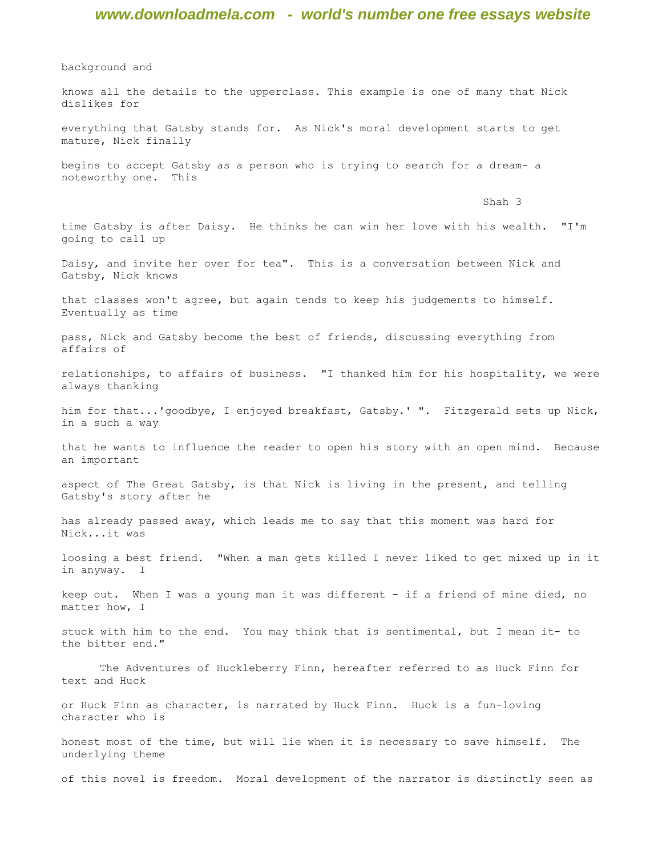background and

knows all the details to the upperclass. This example is one of many that Nick dislikes for everything that Gatsby stands for. As Nick's moral development starts to get mature, Nick finally begins to accept Gatsby as a person who is trying to search for a dream- a noteworthy one. This Shah 3 time Gatsby is after Daisy. He thinks he can win her love with his wealth. "I'm going to call up Daisy, and invite her over for tea". This is a conversation between Nick and Gatsby, Nick knows that classes won't agree, but again tends to keep his judgements to himself. Eventually as time pass, Nick and Gatsby become the best of friends, discussing everything from affairs of relationships, to affairs of business. "I thanked him for his hospitality, we were always thanking him for that...'goodbye, I enjoyed breakfast, Gatsby.' ". Fitzgerald sets up Nick, in a such a way that he wants to influence the reader to open his story with an open mind. Because an important aspect of The Great Gatsby, is that Nick is living in the present, and telling Gatsby's story after he has already passed away, which leads me to say that this moment was hard for Nick...it was loosing a best friend. "When a man gets killed I never liked to get mixed up in it in anyway. I keep out. When I was a young man it was different - if a friend of mine died, no matter how, I stuck with him to the end. You may think that is sentimental, but I mean it- to the bitter end." The Adventures of Huckleberry Finn, hereafter referred to as Huck Finn for text and Huck or Huck Finn as character, is narrated by Huck Finn. Huck is a fun-loving character who is honest most of the time, but will lie when it is necessary to save himself. The underlying theme of this novel is freedom. Moral development of the narrator is distinctly seen as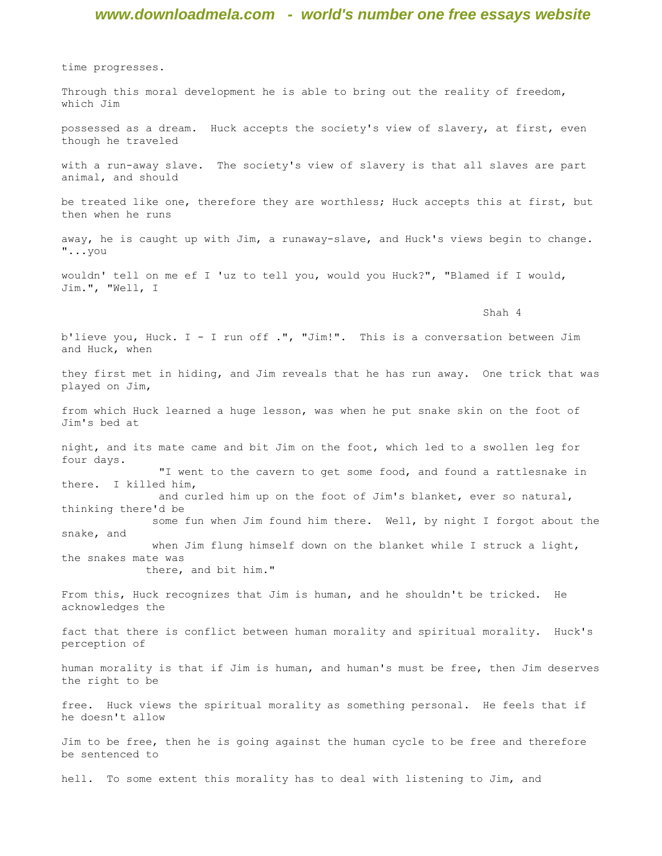time progresses.

Through this moral development he is able to bring out the reality of freedom, which Jim

possessed as a dream. Huck accepts the society's view of slavery, at first, even though he traveled

with a run-away slave. The society's view of slavery is that all slaves are part animal, and should

be treated like one, therefore they are worthless; Huck accepts this at first, but then when he runs

away, he is caught up with Jim, a runaway-slave, and Huck's views begin to change. "...you

wouldn' tell on me ef I 'uz to tell you, would you Huck?", "Blamed if I would, Jim.", "Well, I

Shah 4

b'lieve you, Huck. I - I run off .", "Jim!". This is a conversation between Jim and Huck, when

they first met in hiding, and Jim reveals that he has run away. One trick that was played on Jim,

from which Huck learned a huge lesson, was when he put snake skin on the foot of Jim's bed at

night, and its mate came and bit Jim on the foot, which led to a swollen leg for four days. "I went to the cavern to get some food, and found a rattlesnake in

there. I killed him, and curled him up on the foot of Jim's blanket, ever so natural, thinking there'd be

 some fun when Jim found him there. Well, by night I forgot about the snake, and when Jim flung himself down on the blanket while I struck a light, the snakes mate was

there, and bit him."

From this, Huck recognizes that Jim is human, and he shouldn't be tricked. He acknowledges the

fact that there is conflict between human morality and spiritual morality. Huck's perception of

human morality is that if Jim is human, and human's must be free, then Jim deserves the right to be

free. Huck views the spiritual morality as something personal. He feels that if he doesn't allow

Jim to be free, then he is going against the human cycle to be free and therefore be sentenced to

hell. To some extent this morality has to deal with listening to Jim, and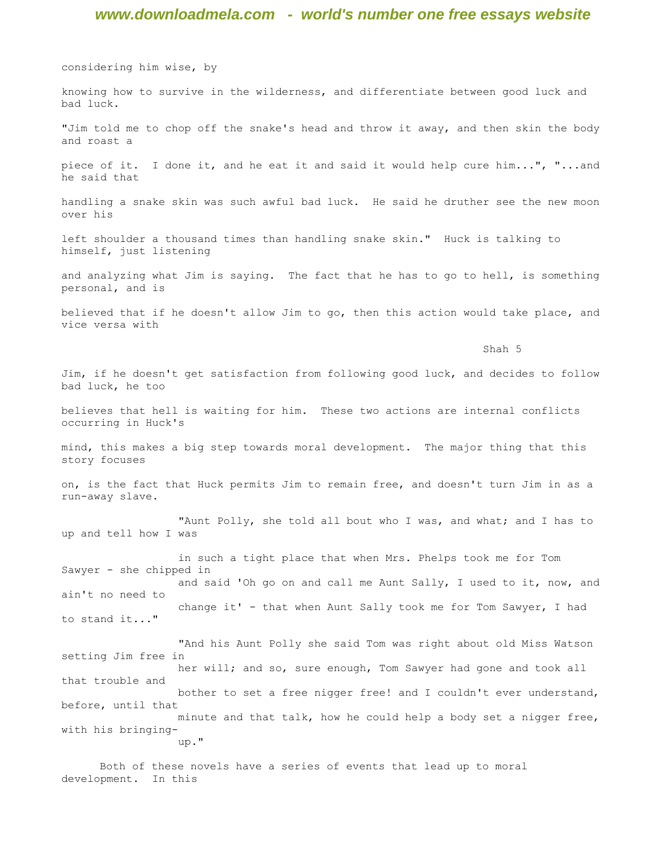considering him wise, by

knowing how to survive in the wilderness, and differentiate between good luck and bad luck.

"Jim told me to chop off the snake's head and throw it away, and then skin the body and roast a

piece of it. I done it, and he eat it and said it would help cure him...", "...and he said that

handling a snake skin was such awful bad luck. He said he druther see the new moon over his

left shoulder a thousand times than handling snake skin." Huck is talking to himself, just listening

and analyzing what Jim is saying. The fact that he has to go to hell, is something personal, and is

believed that if he doesn't allow Jim to go, then this action would take place, and vice versa with

Shah 5

Jim, if he doesn't get satisfaction from following good luck, and decides to follow bad luck, he too

believes that hell is waiting for him. These two actions are internal conflicts occurring in Huck's

mind, this makes a big step towards moral development. The major thing that this story focuses

on, is the fact that Huck permits Jim to remain free, and doesn't turn Jim in as a run-away slave.

 "Aunt Polly, she told all bout who I was, and what; and I has to up and tell how I was

 in such a tight place that when Mrs. Phelps took me for Tom Sawyer - she chipped in and said 'Oh go on and call me Aunt Sally, I used to it, now, and ain't no need to change it' - that when Aunt Sally took me for Tom Sawyer, I had to stand it..."

 "And his Aunt Polly she said Tom was right about old Miss Watson setting Jim free in her will; and so, sure enough, Tom Sawyer had gone and took all that trouble and bother to set a free nigger free! and I couldn't ever understand, before, until that minute and that talk, how he could help a body set a nigger free, with his bringing up."

Both of these novels have a series of events that lead up to moral development. In this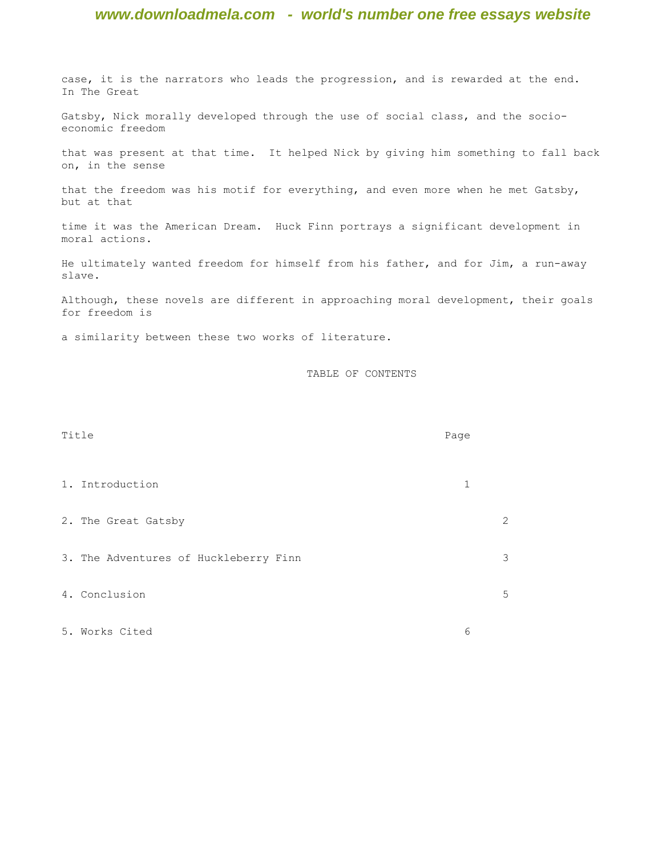case, it is the narrators who leads the progression, and is rewarded at the end. In The Great

Gatsby, Nick morally developed through the use of social class, and the socioeconomic freedom

that was present at that time. It helped Nick by giving him something to fall back on, in the sense

that the freedom was his motif for everything, and even more when he met Gatsby, but at that

time it was the American Dream. Huck Finn portrays a significant development in moral actions.

He ultimately wanted freedom for himself from his father, and for Jim, a run-away slave.

Although, these novels are different in approaching moral development, their goals for freedom is

a similarity between these two works of literature.

TABLE OF CONTENTS

| Title |                                       | Page |                |
|-------|---------------------------------------|------|----------------|
|       | 1. Introduction                       | 1    |                |
|       | 2. The Great Gatsby                   |      | $\overline{2}$ |
|       | 3. The Adventures of Huckleberry Finn |      | 3              |
|       | 4. Conclusion                         |      | 5              |
|       | 5. Works Cited                        | 6    |                |